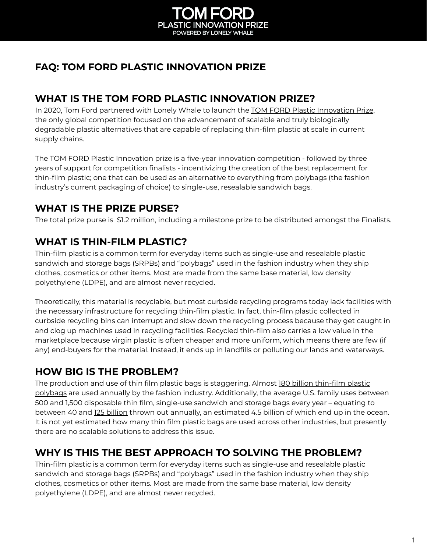# **FAQ: TOM FORD PLASTIC INNOVATION PRIZE**

## **WHAT IS THE TOM FORD PLASTIC INNOVATION PRIZE?**

In 2020, Tom Ford partnered with Lonely Whale to launch the [TOM FORD Plastic Innovation Prize,](https://www.google.com/url?q=http://plasticprize.org&sa=D&source=docs&ust=1648509411747900&usg=AOvVaw1rtX5ztV6kHYdGHmNP79tR) the only global competition focused on the advancement of scalable and truly biologically degradable plastic alternatives that are capable of replacing thin-film plastic at scale in current supply chains.

The TOM FORD Plastic Innovation prize is a five-year innovation competition - followed by three years of support for competition finalists - incentivizing the creation of the best replacement for thin-film plastic; one that can be used as an alternative to everything from polybags (the fashion industry's current packaging of choice) to single-use, resealable sandwich bags.

#### **WHAT IS THE PRIZE PURSE?**

The total prize purse is \$1.2 million, including a milestone prize to be distributed amongst the Finalists.

#### **WHAT IS THIN-FILM PLASTIC?**

Thin-film plastic is a common term for everyday items such as single-use and resealable plastic sandwich and storage bags (SRPBs) and "polybags" used in the fashion industry when they ship clothes, cosmetics or other items. Most are made from the same base material, low density polyethylene (LDPE), and are almost never recycled.

Theoretically, this material is recyclable, but most curbside recycling programs today lack facilities with the necessary infrastructure for recycling thin-film plastic. In fact, thin-film plastic collected in curbside recycling bins can interrupt and slow down the recycling process because they get caught in and clog up machines used in recycling facilities. Recycled thin-film also carries a low value in the marketplace because virgin plastic is often cheaper and more uniform, which means there are few (if any) end-buyers for the material. Instead, it ends up in landfills or polluting our lands and waterways.

#### **HOW BIG IS THE PROBLEM?**

The production and use of thin film plastic bags is staggering. Almost [180 billion thin-film plastic](https://fashionforgood.com/our_news/fashion-for-good-launches-a-pilot-to-produce-a-circular-polybag/) [polybags](https://fashionforgood.com/our_news/fashion-for-good-launches-a-pilot-to-produce-a-circular-polybag/) are used annually by the fashion industry. Additionally, the average U.S. family uses between 500 and 1,500 disposable thin film, single-use sandwich and storage bags every year – equating to between 40 and [125 billion](https://recyclenation.com/2014/10/recycle-Ziploc%C2%AE-bags/) thrown out annually, an estimated 4.5 billion of which end up in the ocean. It is not yet estimated how many thin film plastic bags are used across other industries, but presently there are no scalable solutions to address this issue.

#### **WHY IS THIS THE BEST APPROACH TO SOLVING THE PROBLEM?**

Thin-film plastic is a common term for everyday items such as single-use and resealable plastic sandwich and storage bags (SRPBs) and "polybags" used in the fashion industry when they ship clothes, cosmetics or other items. Most are made from the same base material, low density polyethylene (LDPE), and are almost never recycled.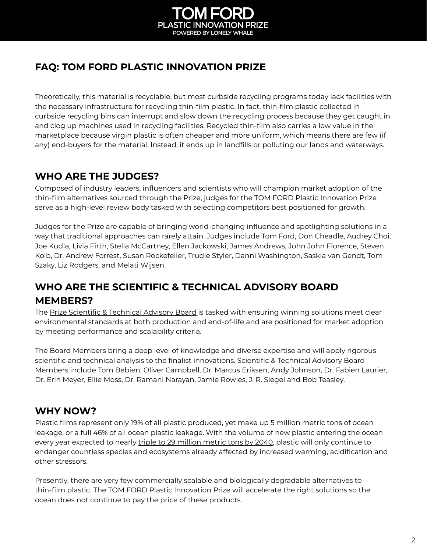# **FAQ: TOM FORD PLASTIC INNOVATION PRIZE**

Theoretically, this material is recyclable, but most curbside recycling programs today lack facilities with the necessary infrastructure for recycling thin-film plastic. In fact, thin-film plastic collected in curbside recycling bins can interrupt and slow down the recycling process because they get caught in and clog up machines used in recycling facilities. Recycled thin-film also carries a low value in the marketplace because virgin plastic is often cheaper and more uniform, which means there are few (if any) end-buyers for the material. Instead, it ends up in landfills or polluting our lands and waterways.

#### **WHO ARE THE JUDGES?**

Composed of industry leaders, influencers and scientists who will champion market adoption of the thin-film alternatives sourced through the Prize, [judges for the TOM FORD Plastic Innovation Prize](https://plasticprize.org/#our-judges) serve as a high-level review body tasked with selecting competitors best positioned for growth.

Judges for the Prize are capable of bringing world-changing influence and spotlighting solutions in a way that traditional approaches can rarely attain. Judges include Tom Ford, Don Cheadle, Audrey Choi, Joe Kudla, Livia Firth, Stella McCartney, Ellen Jackowski, James Andrews, John John Florence, Steven Kolb, Dr. Andrew Forrest, Susan Rockefeller, Trudie Styler, Danni Washington, Saskia van Gendt, Tom Szaky, Liz Rodgers, and Melati Wijsen.

# **WHO ARE THE SCIENTIFIC & TECHNICAL ADVISORY BOARD MEMBERS?**

The [Prize Scientific & Technical Advisory Board](https://plasticprize.org/#our-judges) is tasked with ensuring winning solutions meet clear environmental standards at both production and end-of-life and are positioned for market adoption by meeting performance and scalability criteria.

The Board Members bring a deep level of knowledge and diverse expertise and will apply rigorous scientific and technical analysis to the finalist innovations. Scientific & Technical Advisory Board Members include Tom Bebien, Oliver Campbell, Dr. Marcus Eriksen, Andy Johnson, Dr. Fabien Laurier, Dr. Erin Meyer, Ellie Moss, Dr. Ramani Narayan, Jamie Rowles, J. R. Siegel and Bob Teasley.

## **WHY NOW?**

Plastic films represent only 19% of all plastic produced, yet make up 5 million metric tons of ocean leakage, or a full 46% of all ocean plastic leakage. With the volume of new plastic entering the ocean every year expected to nearly [triple to 29 million metric tons by 2040](https://www.pewtrusts.org/en/research-and-analysis/articles/2020/07/23/breaking-the-plastic-wave-top-findings), plastic will only continue to endanger countless species and ecosystems already affected by increased warming, acidification and other stressors.

Presently, there are very few commercially scalable and biologically degradable alternatives to thin-film plastic. The TOM FORD Plastic Innovation Prize will accelerate the right solutions so the ocean does not continue to pay the price of these products.